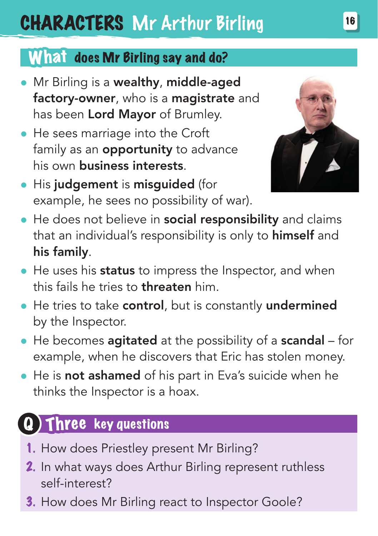# CHARACTERS Mr Arthur Birling

### What does Mr Birling say and do?

- **•** Mr Birling is a wealthy, middle-aged factory-owner, who is a magistrate and has been Lord Mayor of Brumley.
- He sees marriage into the Croft family as an **opportunity** to advance his own business interests.



- His judgement is misguided (for example, he sees no possibility of war).
- He does not believe in social responsibility and claims that an individual's responsibility is only to himself and his family.
- He uses his **status** to impress the Inspector, and when this fails he tries to threaten him.
- He tries to take control, but is constantly undermined by the Inspector.
- He becomes agitated at the possibility of a scandal for example, when he discovers that Eric has stolen money.
- He is not ashamed of his part in Eva's suicide when he thinks the Inspector is a hoax.

## Three key questions

- 1. How does Priestley present Mr Birling?
- 2. In what ways does Arthur Birling represent ruthless self-interest?
- 3. How does Mr Birling react to Inspector Goole?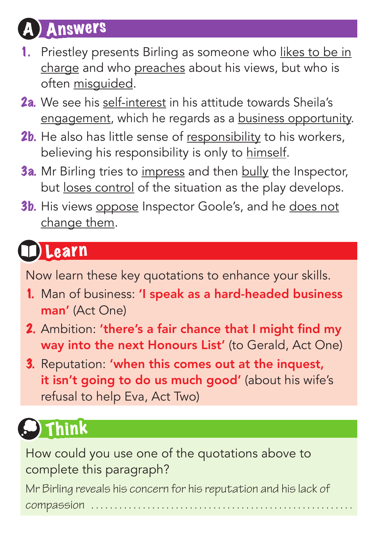## **Answers**

- 1. Priestley presents Birling as someone who likes to be in charge and who preaches about his views, but who is often misguided.
- 2a. We see his self-interest in his attitude towards Sheila's engagement, which he regards as a business opportunity.
- 2b. He also has little sense of responsibility to his workers, believing his responsibility is only to himself.
- **3a.** Mr Birling tries to impress and then bully the Inspector, but loses control of the situation as the play develops.
- **3b.** His views oppose Inspector Goole's, and he does not change them.

## Learn

Now learn these key quotations to enhance your skills.

- 1. Man of business: 'I speak as a hard-headed business man' (Act One)
- 2. Ambition: 'there's a fair chance that I might find my way into the next Honours List' (to Gerald, Act One)
- 3. Reputation: 'when this comes out at the inquest, it isn't going to do us much good' (about his wife's refusal to help Eva, Act Two)

# ) Think

How could you use one of the quotations above to complete this paragraph?

Mr Birling reveals his concern for his reputation and his lack of  $compas$ sion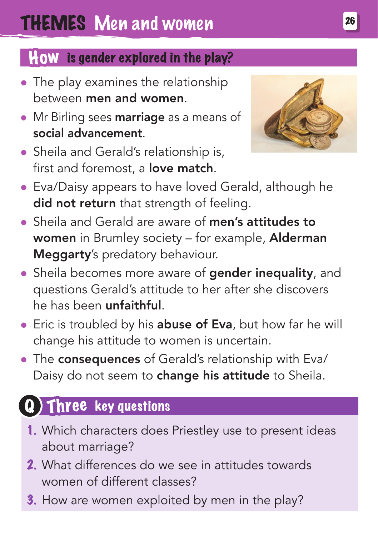#### How is gender explored in the play?

- The play examines the relationship between men and women.
- Mr Birling sees marriage as a means of social advancement.
- Sheila and Gerald's relationship is, first and foremost, a **love match**.



- Eva/Daisy appears to have loved Gerald, although he did not return that strength of feeling.
- Sheila and Gerald are aware of men's attitudes to women in Brumley society – for example, Alderman Meggarty's predatory behaviour.
- Sheila becomes more aware of **gender inequality**, and questions Gerald's attitude to her after she discovers he has been unfaithful.
- **Eric is troubled by his abuse of Eva**, but how far he will change his attitude to women is uncertain.
- The consequences of Gerald's relationship with Eva/ Daisy do not seem to **change his attitude** to Sheila.

### Three key questions

- 1. Which characters does Priestley use to present ideas about marriage?
- 2. What differences do we see in attitudes towards women of different classes?
- 3. How are women exploited by men in the play?